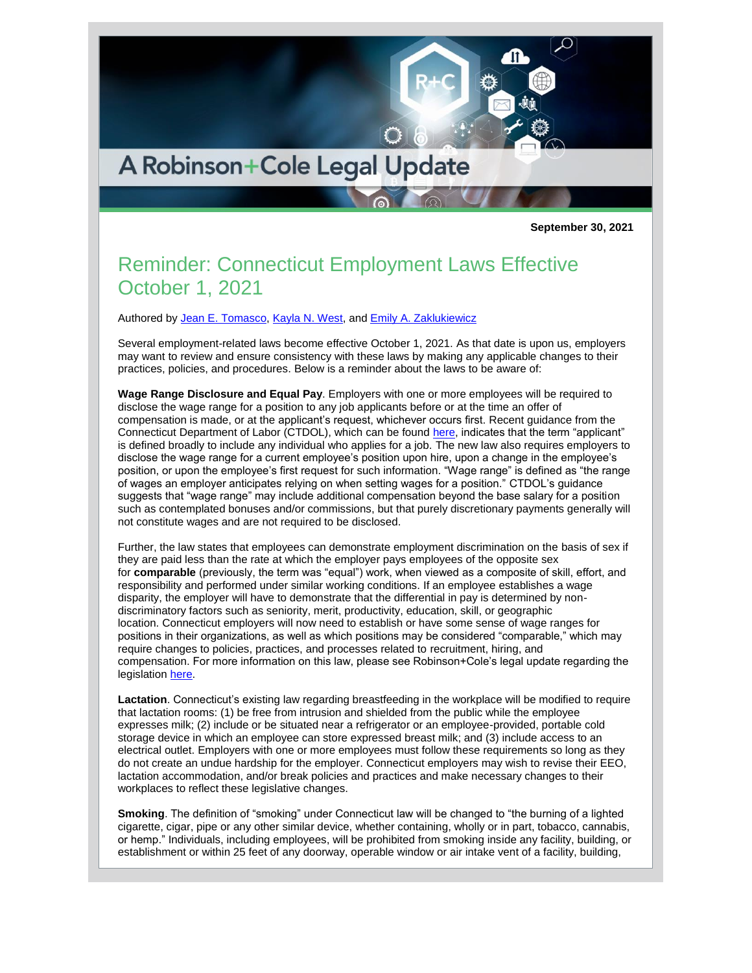

**September 30, 2021**

## Reminder: Connecticut Employment Laws Effective October 1, 2021

Authored by [Jean E. Tomasco,](http://www.rc.com/people/JeanETomasco.cfm) [Kayla N. West,](http://www.rc.com/people/KaylaNWest.cfm) and [Emily A. Zaklukiewicz](http://www.rc.com/people/EmilyAZaklukiewicz.cfm)

Several employment-related laws become effective October 1, 2021. As that date is upon us, employers may want to review and ensure consistency with these laws by making any applicable changes to their practices, policies, and procedures. Below is a reminder about the laws to be aware of:

**Wage Range Disclosure and Equal Pay**. Employers with one or more employees will be required to disclose the wage range for a position to any job applicants before or at the time an offer of compensation is made, or at the applicant's request, whichever occurs first. Recent guidance from the Connecticut Department of Labor (CTDOL), which can be found [here,](https://www.ctdol.state.ct.us/wgwkstnd/QandArePA21-30.pdf) indicates that the term "applicant" is defined broadly to include any individual who applies for a job. The new law also requires employers to disclose the wage range for a current employee's position upon hire, upon a change in the employee's position, or upon the employee's first request for such information. "Wage range" is defined as "the range of wages an employer anticipates relying on when setting wages for a position." CTDOL's guidance suggests that "wage range" may include additional compensation beyond the base salary for a position such as contemplated bonuses and/or commissions, but that purely discretionary payments generally will not constitute wages and are not required to be disclosed.

Further, the law states that employees can demonstrate employment discrimination on the basis of sex if they are paid less than the rate at which the employer pays employees of the opposite sex for **comparable** (previously, the term was "equal") work, when viewed as a composite of skill, effort, and responsibility and performed under similar working conditions. If an employee establishes a wage disparity, the employer will have to demonstrate that the differential in pay is determined by nondiscriminatory factors such as seniority, merit, productivity, education, skill, or geographic location. Connecticut employers will now need to establish or have some sense of wage ranges for positions in their organizations, as well as which positions may be considered "comparable," which may require changes to policies, practices, and processes related to recruitment, hiring, and compensation. For more information on this law, please see Robinson+Cole's legal update regarding the legislation [here.](http://www.rc.com/upload/BLE-Legal-Update-6-15-21.pdf)

**Lactation**. Connecticut's existing law regarding breastfeeding in the workplace will be modified to require that lactation rooms: (1) be free from intrusion and shielded from the public while the employee expresses milk; (2) include or be situated near a refrigerator or an employee-provided, portable cold storage device in which an employee can store expressed breast milk; and (3) include access to an electrical outlet. Employers with one or more employees must follow these requirements so long as they do not create an undue hardship for the employer. Connecticut employers may wish to revise their EEO, lactation accommodation, and/or break policies and practices and make necessary changes to their workplaces to reflect these legislative changes.

**Smoking**. The definition of "smoking" under Connecticut law will be changed to "the burning of a lighted cigarette, cigar, pipe or any other similar device, whether containing, wholly or in part, tobacco, cannabis, or hemp." Individuals, including employees, will be prohibited from smoking inside any facility, building, or establishment or within 25 feet of any doorway, operable window or air intake vent of a facility, building,